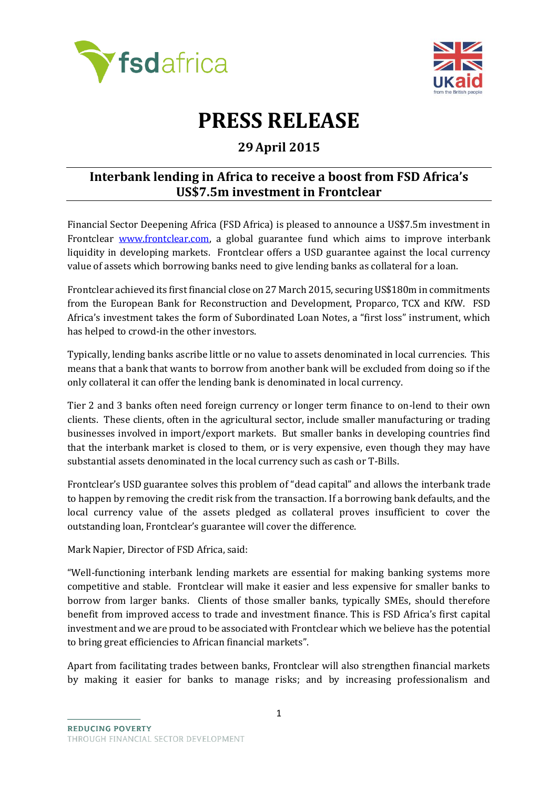



## **PRESS RELEASE**

## **29April 2015**

## **Interbank lending in Africa to receive a boost from FSD Africa's US\$7.5m investment in Frontclear**

Financial Sector Deepening Africa (FSD Africa) is pleased to announce a US\$7.5m investment in Frontclear [www.frontclear.com,](http://www.frontclear.com/) a global guarantee fund which aims to improve interbank liquidity in developing markets. Frontclear offers a USD guarantee against the local currency value of assets which borrowing banks need to give lending banks as collateral for a loan.

Frontclear achieved its first financial close on 27 March 2015, securing US\$180m in commitments from the European Bank for Reconstruction and Development, Proparco, TCX and KfW. FSD Africa's investment takes the form of Subordinated Loan Notes, a "first loss" instrument, which has helped to crowd-in the other investors.

Typically, lending banks ascribe little or no value to assets denominated in local currencies. This means that a bank that wants to borrow from another bank will be excluded from doing so if the only collateral it can offer the lending bank is denominated in local currency.

Tier 2 and 3 banks often need foreign currency or longer term finance to on-lend to their own clients. These clients, often in the agricultural sector, include smaller manufacturing or trading businesses involved in import/export markets. But smaller banks in developing countries find that the interbank market is closed to them, or is very expensive, even though they may have substantial assets denominated in the local currency such as cash or T-Bills.

Frontclear's USD guarantee solves this problem of "dead capital" and allows the interbank trade to happen by removing the credit risk from the transaction. If a borrowing bank defaults, and the local currency value of the assets pledged as collateral proves insufficient to cover the outstanding loan, Frontclear's guarantee will cover the difference.

Mark Napier, Director of FSD Africa, said:

"Well-functioning interbank lending markets are essential for making banking systems more competitive and stable. Frontclear will make it easier and less expensive for smaller banks to borrow from larger banks. Clients of those smaller banks, typically SMEs, should therefore benefit from improved access to trade and investment finance. This is FSD Africa's first capital investment and we are proud to be associated with Frontclear which we believe has the potential to bring great efficiencies to African financial markets".

Apart from facilitating trades between banks, Frontclear will also strengthen financial markets by making it easier for banks to manage risks; and by increasing professionalism and